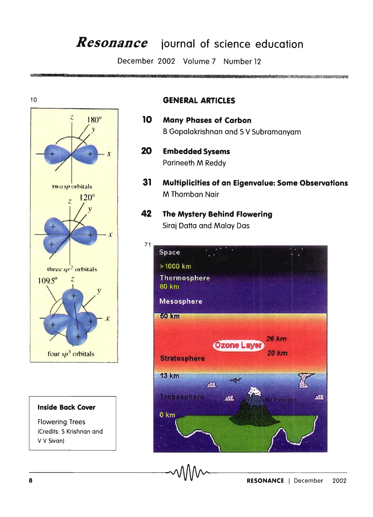# *Resonance* **journal of science education**

December 2002 Volume 7 Number 12



#### **Inside Back Cover**

Flowering Trees (Credits: S Krishnan and V V Sivan)

#### **GENERAL ARTICLES**

- **10 Many Phases of Carbon**  B Gopalakrishnan and 5 V Subramanyam
- 20 **Embedded Sysems**  Parineeth M Reddy
- **31 Multiplicities of an Eigenvalue: Some Observations**  M Thamban Nair

<u> Kongresor (Kongresor Albert Schwart) (September</u>

**42 The Mystery Behind Flowering**  Siraj Datta and Malay Das